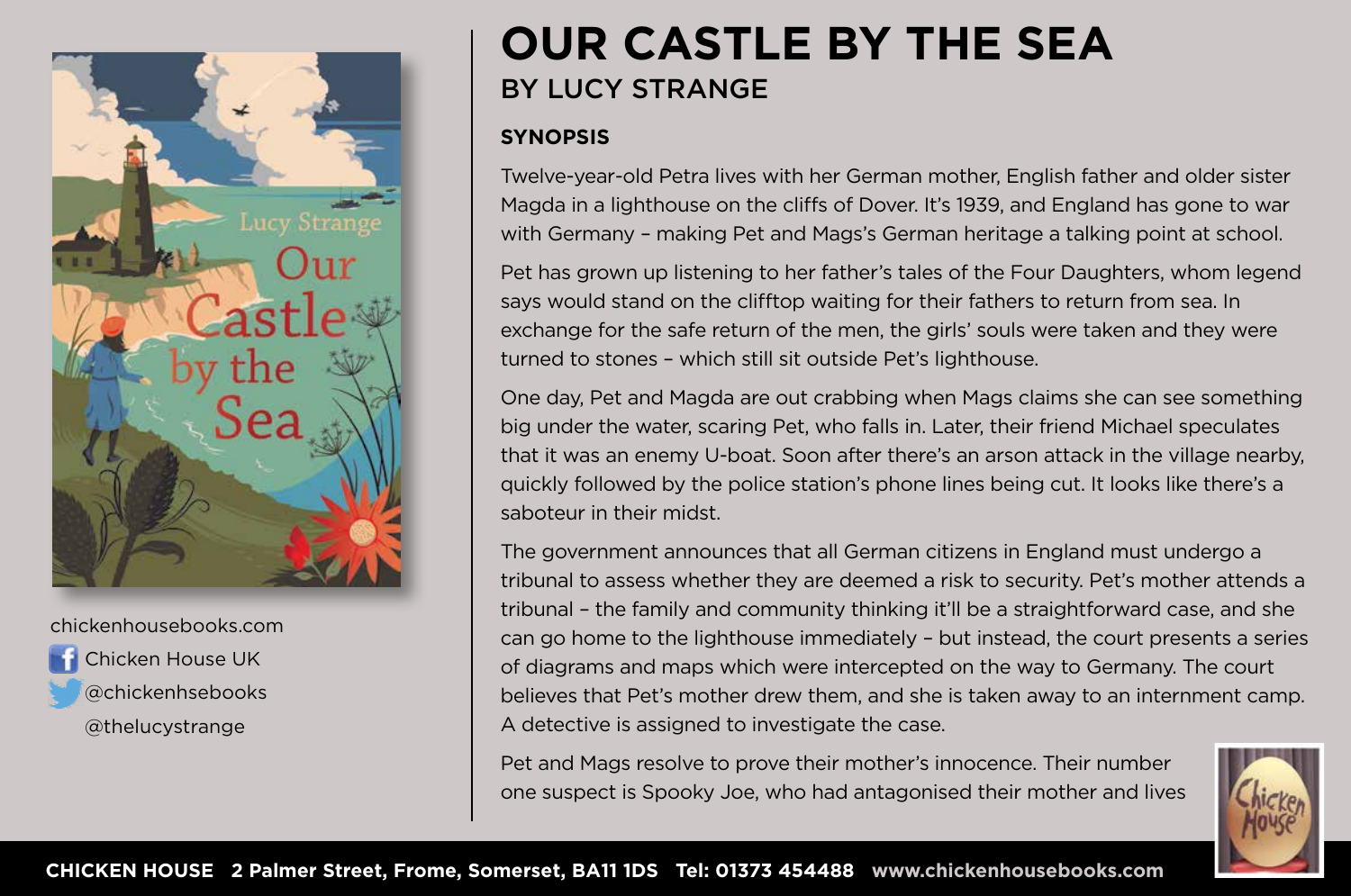

chickenhousebooks.com Chicken House UK @chickenhsebooks @thelucystrange

# **OUR CASTLE BY THE SEA** BY LUCY STRANGE

### **SYNOPSIS**

Twelve-year-old Petra lives with her German mother, English father and older sister Magda in a lighthouse on the cliffs of Dover. It's 1939, and England has gone to war with Germany – making Pet and Mags's German heritage a talking point at school.

Pet has grown up listening to her father's tales of the Four Daughters, whom legend says would stand on the clifftop waiting for their fathers to return from sea. In exchange for the safe return of the men, the girls' souls were taken and they were turned to stones – which still sit outside Pet's lighthouse.

One day, Pet and Magda are out crabbing when Mags claims she can see something big under the water, scaring Pet, who falls in. Later, their friend Michael speculates that it was an enemy U-boat. Soon after there's an arson attack in the village nearby, quickly followed by the police station's phone lines being cut. It looks like there's a saboteur in their midst.

The government announces that all German citizens in England must undergo a tribunal to assess whether they are deemed a risk to security. Pet's mother attends a tribunal – the family and community thinking it'll be a straightforward case, and she can go home to the lighthouse immediately – but instead, the court presents a series of diagrams and maps which were intercepted on the way to Germany. The court believes that Pet's mother drew them, and she is taken away to an internment camp. A detective is assigned to investigate the case.

Pet and Mags resolve to prove their mother's innocence. Their number one suspect is Spooky Joe, who had antagonised their mother and lives

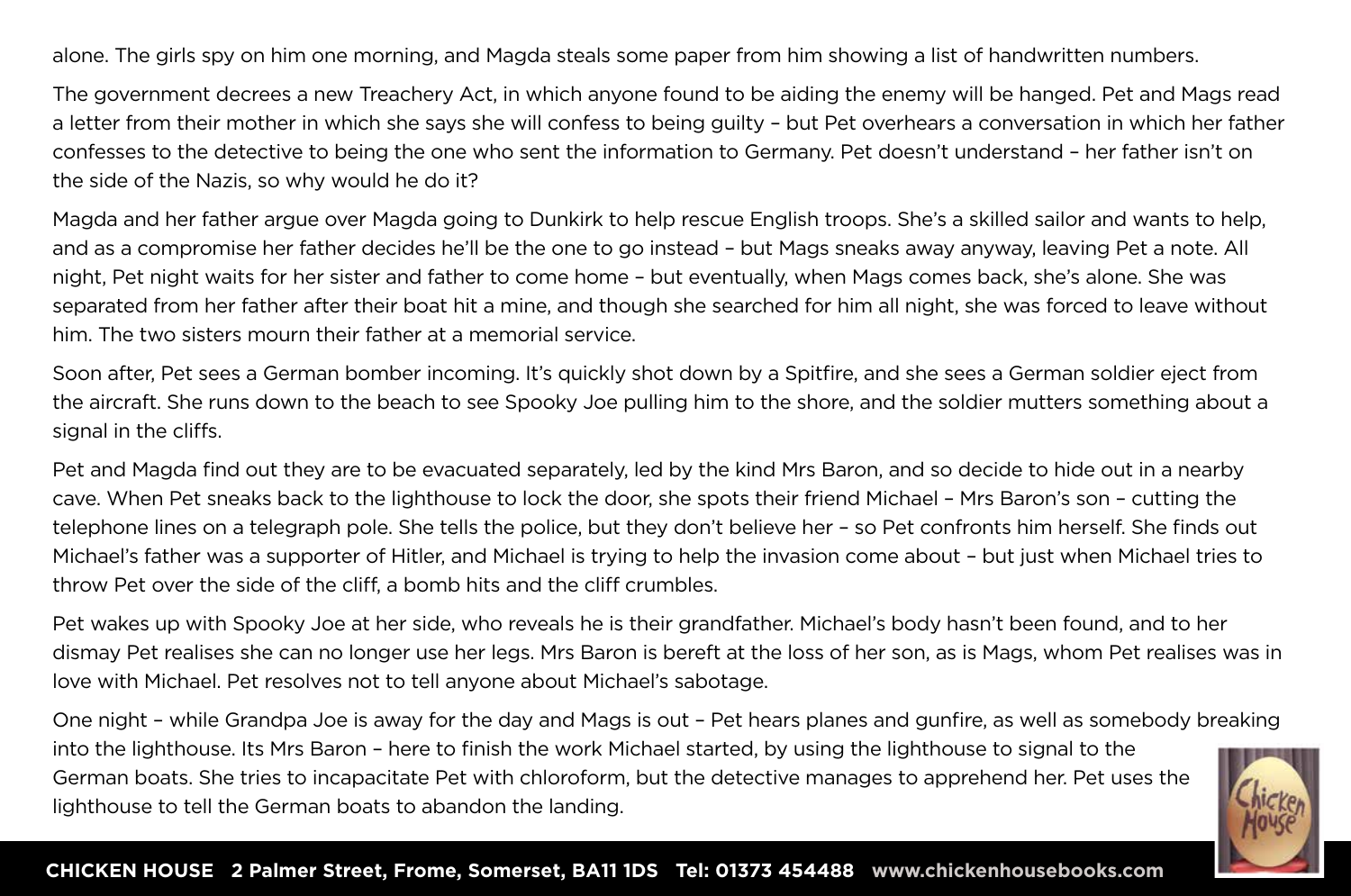alone. The girls spy on him one morning, and Magda steals some paper from him showing a list of handwritten numbers.

The government decrees a new Treachery Act, in which anyone found to be aiding the enemy will be hanged. Pet and Mags read a letter from their mother in which she says she will confess to being guilty – but Pet overhears a conversation in which her father confesses to the detective to being the one who sent the information to Germany. Pet doesn't understand – her father isn't on the side of the Nazis, so why would he do it?

Magda and her father argue over Magda going to Dunkirk to help rescue English troops. She's a skilled sailor and wants to help, and as a compromise her father decides he'll be the one to go instead – but Mags sneaks away anyway, leaving Pet a note. All night, Pet night waits for her sister and father to come home – but eventually, when Mags comes back, she's alone. She was separated from her father after their boat hit a mine, and though she searched for him all night, she was forced to leave without him. The two sisters mourn their father at a memorial service.

Soon after, Pet sees a German bomber incoming. It's quickly shot down by a Spitfire, and she sees a German soldier eject from the aircraft. She runs down to the beach to see Spooky Joe pulling him to the shore, and the soldier mutters something about a signal in the cliffs.

Pet and Magda find out they are to be evacuated separately, led by the kind Mrs Baron, and so decide to hide out in a nearby cave. When Pet sneaks back to the lighthouse to lock the door, she spots their friend Michael – Mrs Baron's son – cutting the telephone lines on a telegraph pole. She tells the police, but they don't believe her – so Pet confronts him herself. She finds out Michael's father was a supporter of Hitler, and Michael is trying to help the invasion come about – but just when Michael tries to throw Pet over the side of the cliff, a bomb hits and the cliff crumbles.

Pet wakes up with Spooky Joe at her side, who reveals he is their grandfather. Michael's body hasn't been found, and to her dismay Pet realises she can no longer use her legs. Mrs Baron is bereft at the loss of her son, as is Mags, whom Pet realises was in love with Michael. Pet resolves not to tell anyone about Michael's sabotage.

One night – while Grandpa Joe is away for the day and Mags is out – Pet hears planes and gunfire, as well as somebody breaking into the lighthouse. Its Mrs Baron – here to finish the work Michael started, by using the lighthouse to signal to the German boats. She tries to incapacitate Pet with chloroform, but the detective manages to apprehend her. Pet uses the lighthouse to tell the German boats to abandon the landing.

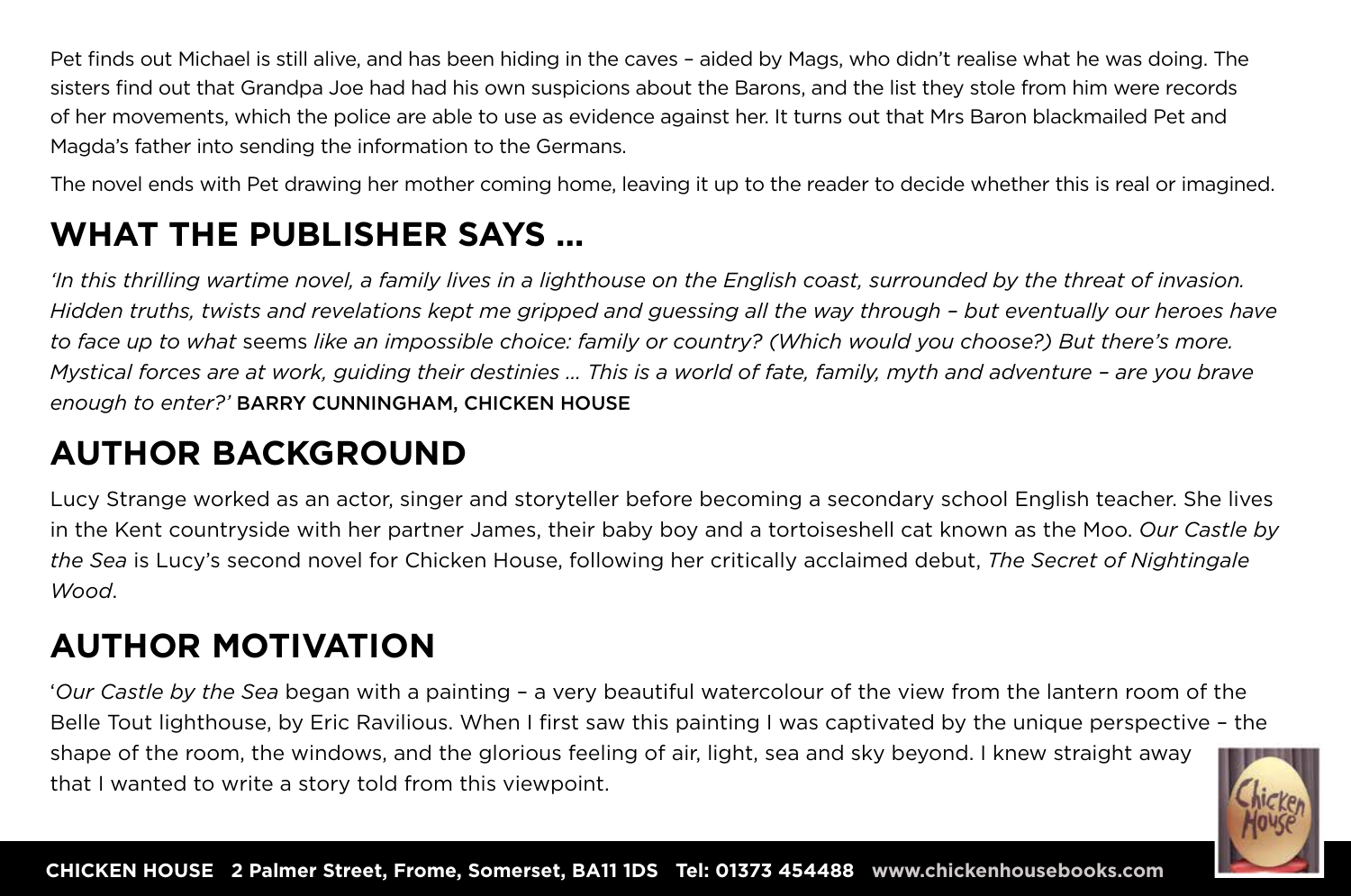Pet finds out Michael is still alive, and has been hiding in the caves – aided by Mags, who didn't realise what he was doing. The sisters find out that Grandpa Joe had had his own suspicions about the Barons, and the list they stole from him were records of her movements, which the police are able to use as evidence against her. It turns out that Mrs Baron blackmailed Pet and Magda's father into sending the information to the Germans.

The novel ends with Pet drawing her mother coming home, leaving it up to the reader to decide whether this is real or imagined.

# **WHAT THE PUBLISHER SAYS …**

*'In this thrilling wartime novel, a family lives in a lighthouse on the English coast, surrounded by the threat of invasion. Hidden truths, twists and revelations kept me gripped and guessing all the way through – but eventually our heroes have to face up to what* seems *like an impossible choice: family or country? (Which would you choose?) But there's more. Mystical forces are at work, guiding their destinies … This is a world of fate, family, myth and adventure – are you brave enough to enter?'* BARRY CUNNINGHAM, CHICKEN HOUSE

## **AUTHOR BACKGROUND**

Lucy Strange worked as an actor, singer and storyteller before becoming a secondary school English teacher. She lives in the Kent countryside with her partner James, their baby boy and a tortoiseshell cat known as the Moo. *Our Castle by the Sea* is Lucy's second novel for Chicken House, following her critically acclaimed debut, *The Secret of Nightingale Wood*.

## **AUTHOR MOTIVATION**

'*Our Castle by the Sea* began with a painting – a very beautiful watercolour of the view from the lantern room of the Belle Tout lighthouse, by Eric Ravilious. When I first saw this painting I was captivated by the unique perspective – the shape of the room, the windows, and the glorious feeling of air, light, sea and sky beyond. I knew straight away that I wanted to write a story told from this viewpoint.

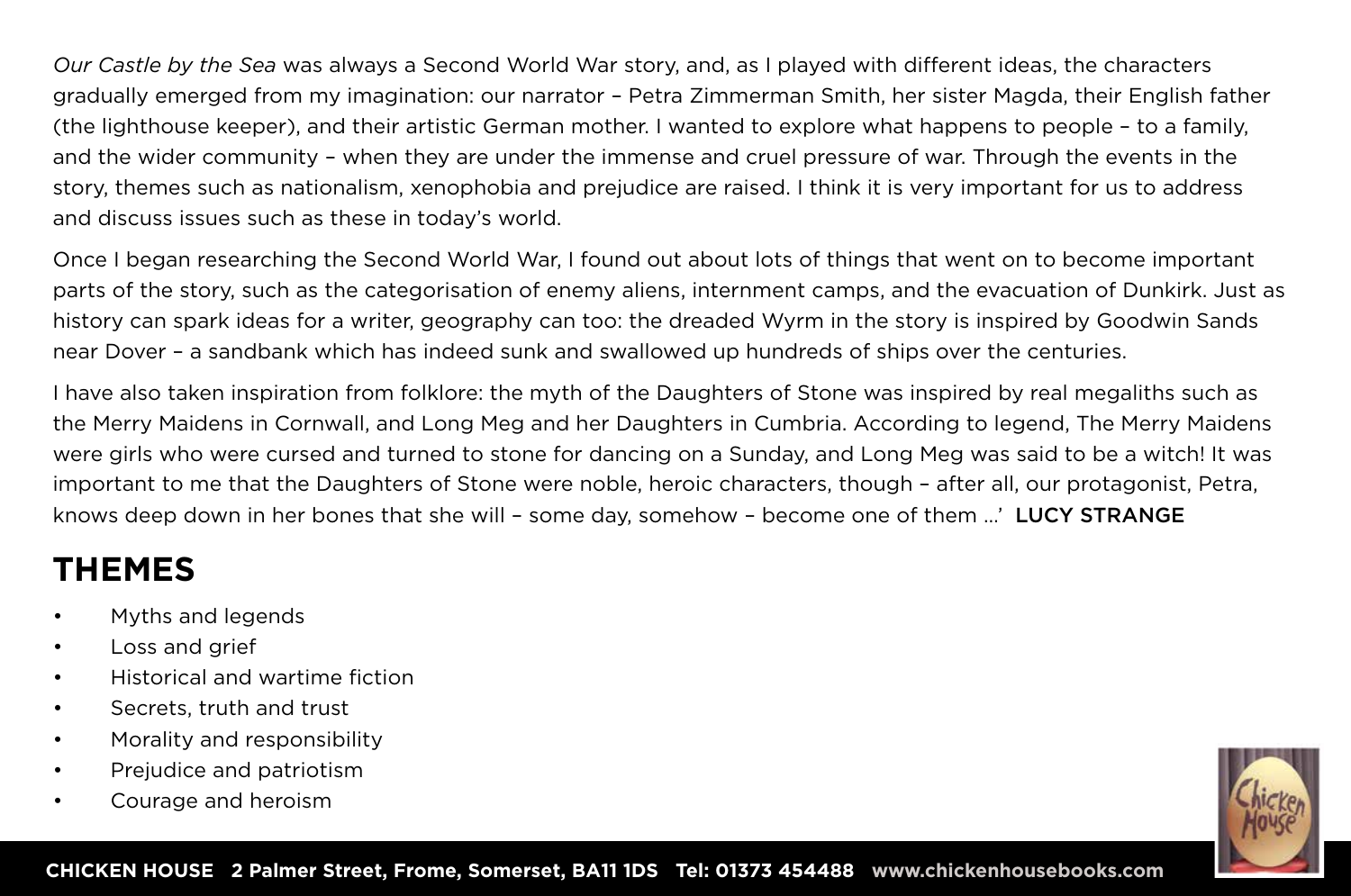*Our Castle by the Sea* was always a Second World War story, and, as I played with different ideas, the characters gradually emerged from my imagination: our narrator – Petra Zimmerman Smith, her sister Magda, their English father (the lighthouse keeper), and their artistic German mother. I wanted to explore what happens to people – to a family, and the wider community – when they are under the immense and cruel pressure of war. Through the events in the story, themes such as nationalism, xenophobia and prejudice are raised. I think it is very important for us to address and discuss issues such as these in today's world.

Once I began researching the Second World War, I found out about lots of things that went on to become important parts of the story, such as the categorisation of enemy aliens, internment camps, and the evacuation of Dunkirk. Just as history can spark ideas for a writer, geography can too: the dreaded Wyrm in the story is inspired by Goodwin Sands near Dover – a sandbank which has indeed sunk and swallowed up hundreds of ships over the centuries.

I have also taken inspiration from folklore: the myth of the Daughters of Stone was inspired by real megaliths such as the Merry Maidens in Cornwall, and Long Meg and her Daughters in Cumbria. According to legend, The Merry Maidens were girls who were cursed and turned to stone for dancing on a Sunday, and Long Meg was said to be a witch! It was important to me that the Daughters of Stone were noble, heroic characters, though – after all, our protagonist, Petra, knows deep down in her bones that she will – some day, somehow – become one of them …' LUCY STRANGE

### **THEMES**

- Myths and legends
- Loss and grief
- Historical and wartime fiction
- Secrets, truth and trust
- Morality and responsibility
- Prejudice and patriotism
- Courage and heroism

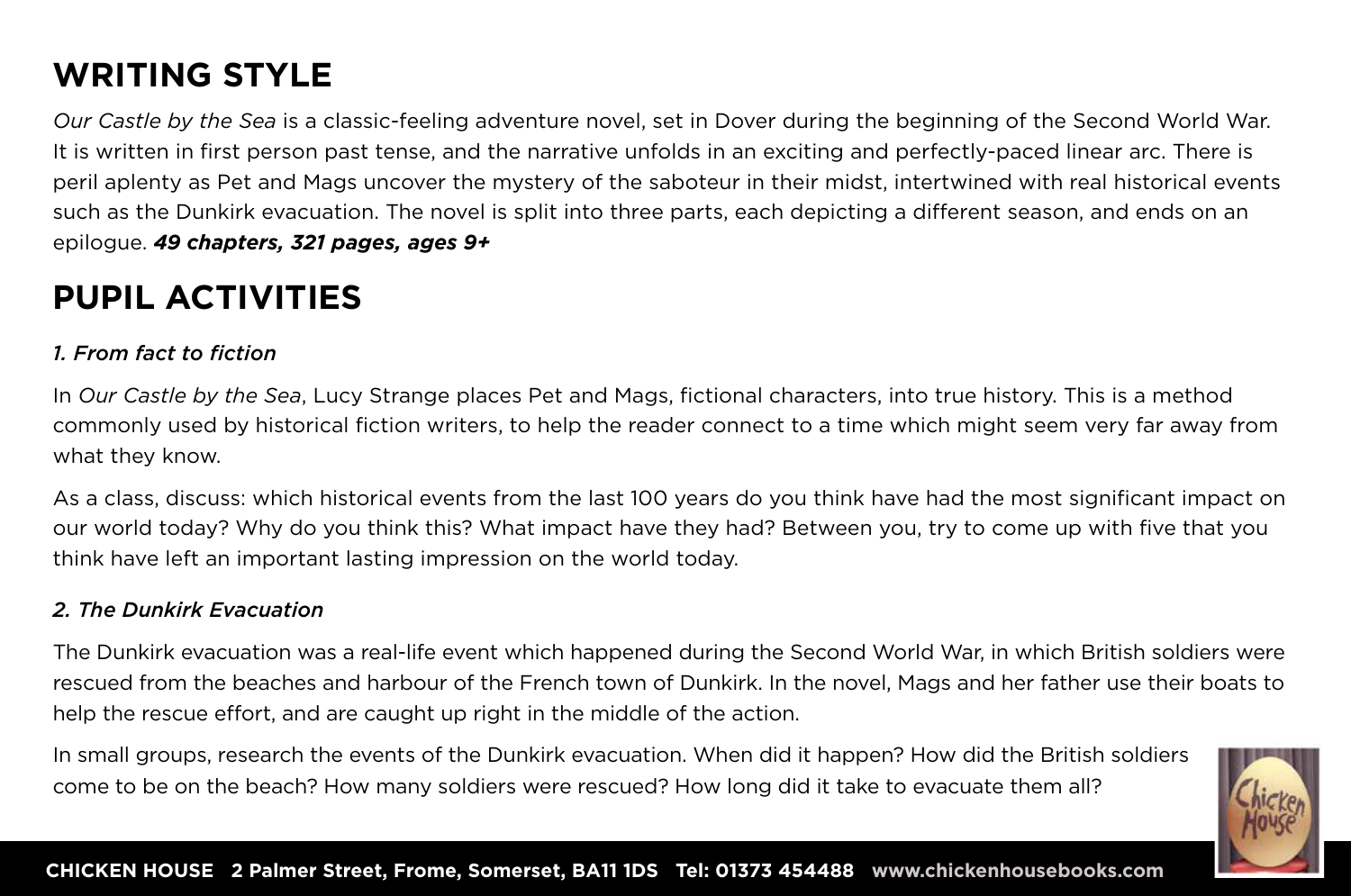# **WRITING STYLE**

*Our Castle by the Sea* is a classic-feeling adventure novel, set in Dover during the beginning of the Second World War. It is written in first person past tense, and the narrative unfolds in an exciting and perfectly-paced linear arc. There is peril aplenty as Pet and Mags uncover the mystery of the saboteur in their midst, intertwined with real historical events such as the Dunkirk evacuation. The novel is split into three parts, each depicting a different season, and ends on an epilogue. *49 chapters, 321 pages, ages 9+*

### **PUPIL ACTIVITIES**

### *1. From fact to fiction*

In *Our Castle by the Sea*, Lucy Strange places Pet and Mags, fictional characters, into true history. This is a method commonly used by historical fiction writers, to help the reader connect to a time which might seem very far away from what they know.

As a class, discuss: which historical events from the last 100 years do you think have had the most significant impact on our world today? Why do you think this? What impact have they had? Between you, try to come up with five that you think have left an important lasting impression on the world today.

### *2. The Dunkirk Evacuation*

The Dunkirk evacuation was a real-life event which happened during the Second World War, in which British soldiers were rescued from the beaches and harbour of the French town of Dunkirk. In the novel, Mags and her father use their boats to help the rescue effort, and are caught up right in the middle of the action.

In small groups, research the events of the Dunkirk evacuation. When did it happen? How did the British soldiers come to be on the beach? How many soldiers were rescued? How long did it take to evacuate them all?

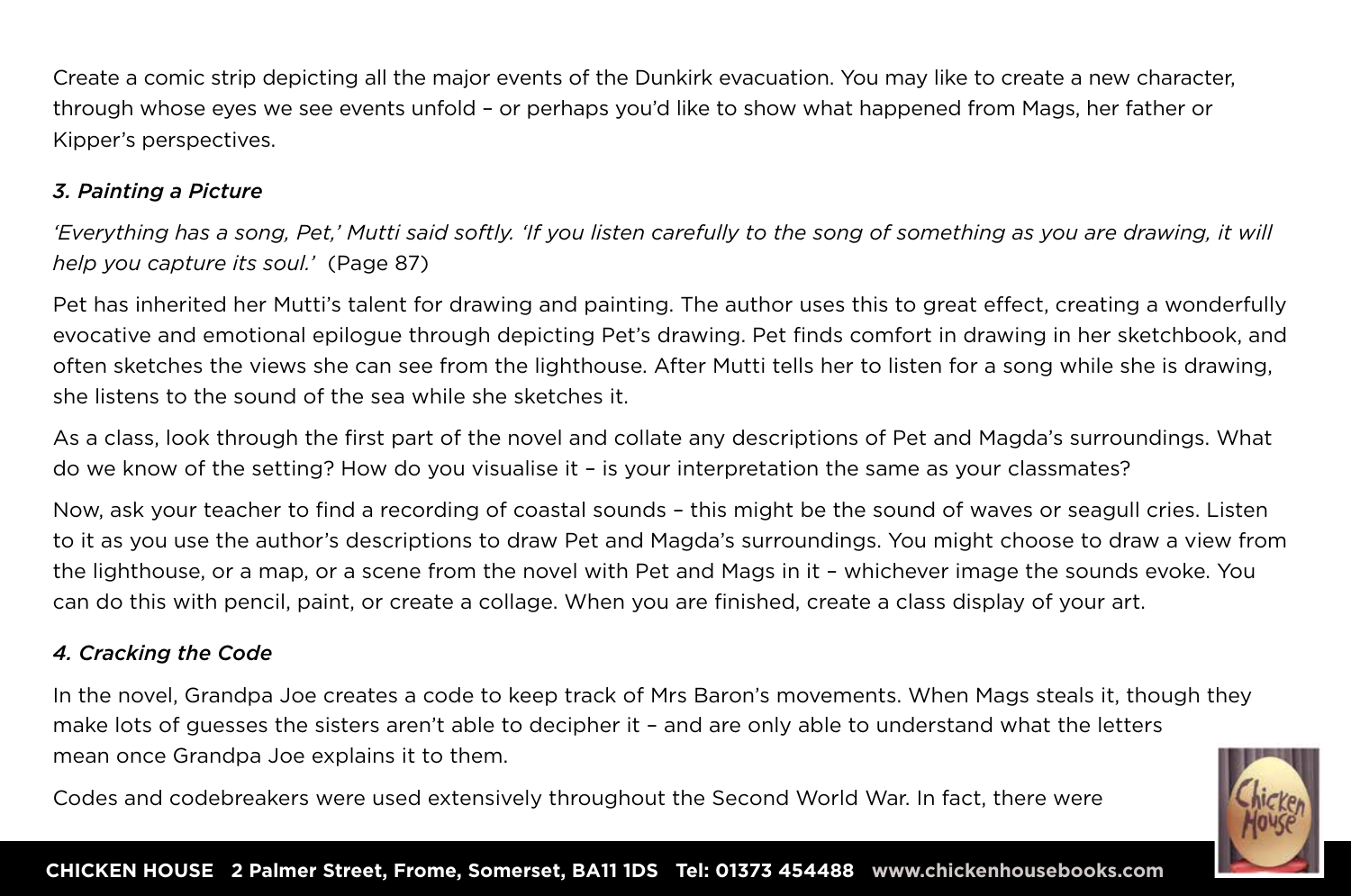Create a comic strip depicting all the major events of the Dunkirk evacuation. You may like to create a new character, through whose eyes we see events unfold – or perhaps you'd like to show what happened from Mags, her father or Kipper's perspectives.

#### *3. Painting a Picture*

*'Everything has a song, Pet,' Mutti said softly. 'If you listen carefully to the song of something as you are drawing, it will help you capture its soul.'* (Page 87)

Pet has inherited her Mutti's talent for drawing and painting. The author uses this to great effect, creating a wonderfully evocative and emotional epilogue through depicting Pet's drawing. Pet finds comfort in drawing in her sketchbook, and often sketches the views she can see from the lighthouse. After Mutti tells her to listen for a song while she is drawing, she listens to the sound of the sea while she sketches it.

As a class, look through the first part of the novel and collate any descriptions of Pet and Magda's surroundings. What do we know of the setting? How do you visualise it – is your interpretation the same as your classmates?

Now, ask your teacher to find a recording of coastal sounds – this might be the sound of waves or seagull cries. Listen to it as you use the author's descriptions to draw Pet and Magda's surroundings. You might choose to draw a view from the lighthouse, or a map, or a scene from the novel with Pet and Mags in it – whichever image the sounds evoke. You can do this with pencil, paint, or create a collage. When you are finished, create a class display of your art.

#### *4. Cracking the Code*

In the novel, Grandpa Joe creates a code to keep track of Mrs Baron's movements. When Mags steals it, though they make lots of guesses the sisters aren't able to decipher it – and are only able to understand what the letters mean once Grandpa Joe explains it to them.

Codes and codebreakers were used extensively throughout the Second World War. In fact, there were

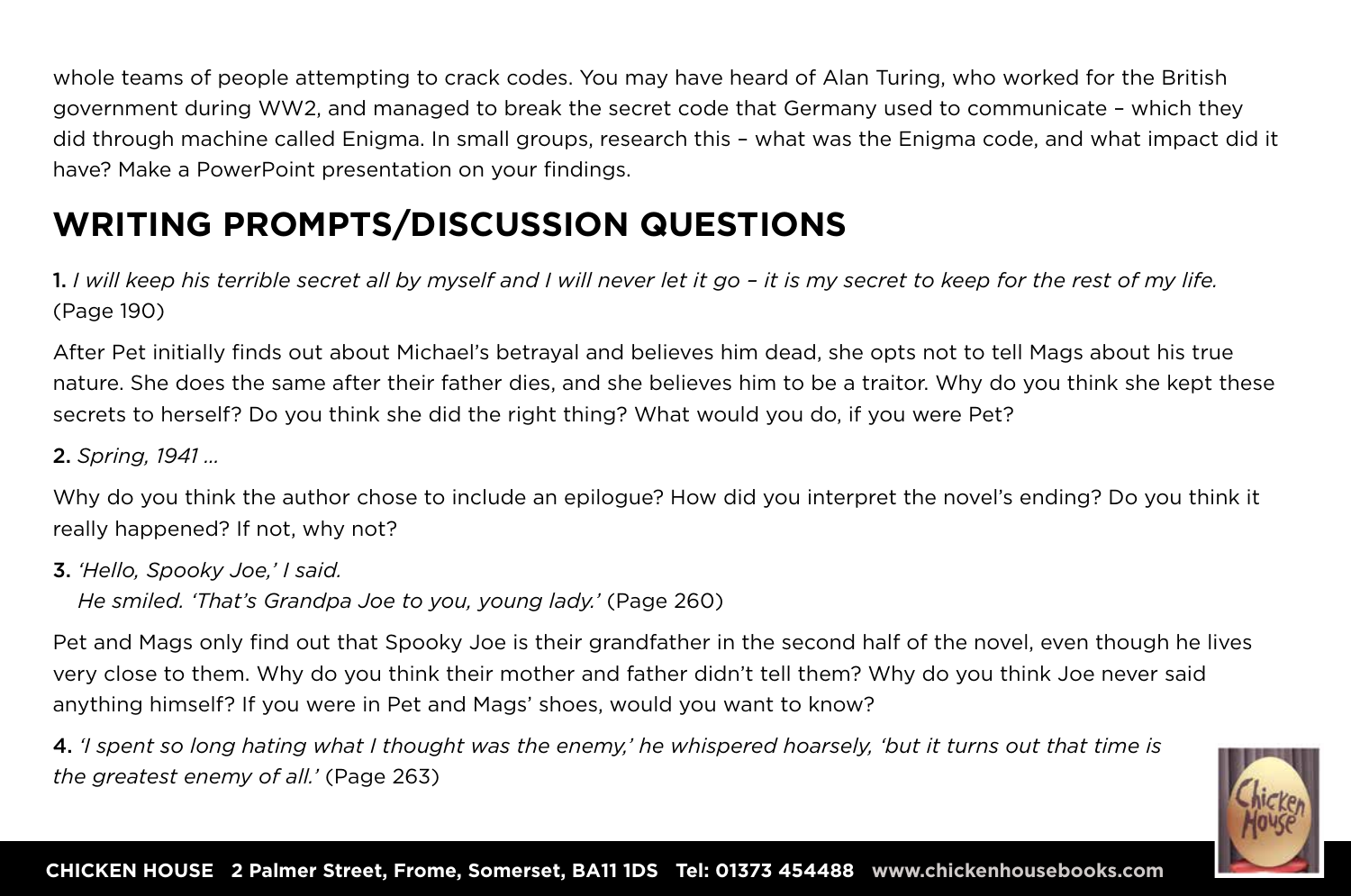whole teams of people attempting to crack codes. You may have heard of Alan Turing, who worked for the British government during WW2, and managed to break the secret code that Germany used to communicate – which they did through machine called Enigma. In small groups, research this – what was the Enigma code, and what impact did it have? Make a PowerPoint presentation on your findings.

## **WRITING PROMPTS/DISCUSSION QUESTIONS**

1. *I will keep his terrible secret all by myself and I will never let it go – it is my secret to keep for the rest of my life.*  (Page 190)

After Pet initially finds out about Michael's betrayal and believes him dead, she opts not to tell Mags about his true nature. She does the same after their father dies, and she believes him to be a traitor. Why do you think she kept these secrets to herself? Do you think she did the right thing? What would you do, if you were Pet?

2. *Spring, 1941 …*

Why do you think the author chose to include an epilogue? How did you interpret the novel's ending? Do you think it really happened? If not, why not?

3. *'Hello, Spooky Joe,' I said.*

 *He smiled. 'That's Grandpa Joe to you, young lady.'* (Page 260)

Pet and Mags only find out that Spooky Joe is their grandfather in the second half of the novel, even though he lives very close to them. Why do you think their mother and father didn't tell them? Why do you think Joe never said anything himself? If you were in Pet and Mags' shoes, would you want to know?

4. *'I spent so long hating what I thought was the enemy,' he whispered hoarsely, 'but it turns out that time is the greatest enemy of all.'* (Page 263)